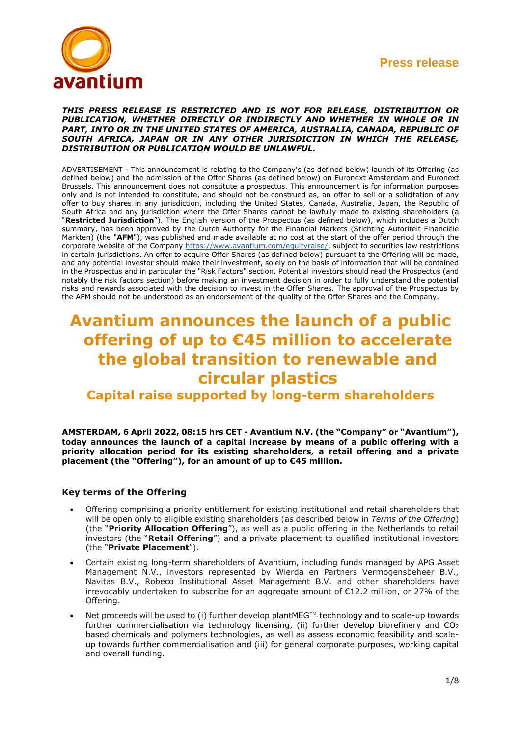



#### *THIS PRESS RELEASE IS RESTRICTED AND IS NOT FOR RELEASE, DISTRIBUTION OR PUBLICATION, WHETHER DIRECTLY OR INDIRECTLY AND WHETHER IN WHOLE OR IN*  PART, INTO OR IN THE UNITED STATES OF AMERICA, AUSTRALIA, CANADA, REPUBLIC OF *SOUTH AFRICA, JAPAN OR IN ANY OTHER JURISDICTION IN WHICH THE RELEASE, DISTRIBUTION OR PUBLICATION WOULD BE UNLAWFUL.*

ADVERTISEMENT - This announcement is relating to the Company's (as defined below) launch of its Offering (as defined below) and the admission of the Offer Shares (as defined below) on Euronext Amsterdam and Euronext Brussels. This announcement does not constitute a prospectus. This announcement is for information purposes only and is not intended to constitute, and should not be construed as, an offer to sell or a solicitation of any offer to buy shares in any jurisdiction, including the United States, Canada, Australia, Japan, the Republic of South Africa and any jurisdiction where the Offer Shares cannot be lawfully made to existing shareholders (a "**Restricted Jurisdiction**"). The English version of the Prospectus (as defined below), which includes a Dutch summary, has been approved by the Dutch Authority for the Financial Markets (Stichting Autoriteit Financiële Markten) (the "**AFM**"), was published and made available at no cost at the start of the offer period through the corporate website of the Company [https://www.avantium.com/equityraise/,](https://www.avantium.com/equityraise/) subject to securities law restrictions in certain jurisdictions. An offer to acquire Offer Shares (as defined below) pursuant to the Offering will be made, and any potential investor should make their investment, solely on the basis of information that will be contained in the Prospectus and in particular the "Risk Factors" section. Potential investors should read the Prospectus (and notably the risk factors section) before making an investment decision in order to fully understand the potential risks and rewards associated with the decision to invest in the Offer Shares. The approval of the Prospectus by the AFM should not be understood as an endorsement of the quality of the Offer Shares and the Company.

# **Avantium announces the launch of a public offering of up to €45 million to accelerate the global transition to renewable and circular plastics**

**Capital raise supported by long-term shareholders**

**AMSTERDAM, 6 April 2022, 08:15 hrs CET - Avantium N.V. (the "Company" or "Avantium"), today announces the launch of a capital increase by means of a public offering with a priority allocation period for its existing shareholders, a retail offering and a private placement (the "Offering"), for an amount of up to €45 million.**

## **Key terms of the Offering**

- Offering comprising a priority entitlement for existing institutional and retail shareholders that will be open only to eligible existing shareholders (as described below in *Terms of the Offering*) (the "**Priority Allocation Offering**"), as well as a public offering in the Netherlands to retail investors (the "**Retail Offering**") and a private placement to qualified institutional investors (the "**Private Placement**").
- Certain existing long-term shareholders of Avantium, including funds managed by APG Asset Management N.V., investors represented by Wierda en Partners Vermogensbeheer B.V., Navitas B.V., Robeco Institutional Asset Management B.V. and other shareholders have irrevocably undertaken to subscribe for an aggregate amount of €12.2 million, or 27% of the Offering.
- Net proceeds will be used to (i) further develop plantMEG™ technology and to scale-up towards further commercialisation via technology licensing, (ii) further develop biorefinery and  $CO<sub>2</sub>$ based chemicals and polymers technologies, as well as assess economic feasibility and scaleup towards further commercialisation and (iii) for general corporate purposes, working capital and overall funding.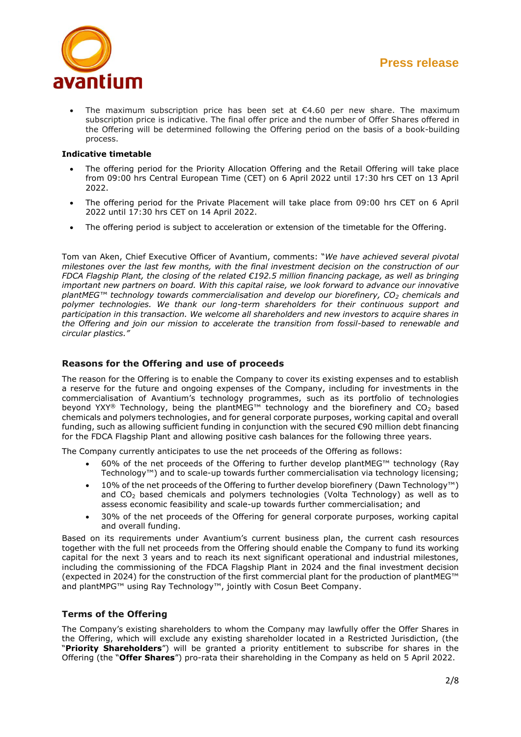



The maximum subscription price has been set at  $€4.60$  per new share. The maximum subscription price is indicative. The final offer price and the number of Offer Shares offered in the Offering will be determined following the Offering period on the basis of a book-building process.

## **Indicative timetable**

- The offering period for the Priority Allocation Offering and the Retail Offering will take place from 09:00 hrs Central European Time (CET) on 6 April 2022 until 17:30 hrs CET on 13 April 2022.
- The offering period for the Private Placement will take place from 09:00 hrs CET on 6 April 2022 until 17:30 hrs CET on 14 April 2022.
- The offering period is subject to acceleration or extension of the timetable for the Offering.

Tom van Aken, Chief Executive Officer of Avantium, comments: "*We have achieved several pivotal milestones over the last few months, with the final investment decision on the construction of our FDCA Flagship Plant, the closing of the related €192.5 million financing package, as well as bringing important new partners on board. With this capital raise, we look forward to advance our innovative plantMEG™ technology towards commercialisation and develop our biorefinery, CO<sup>2</sup> chemicals and polymer technologies. We thank our long-term shareholders for their continuous support and participation in this transaction. We welcome all shareholders and new investors to acquire shares in the Offering and join our mission to accelerate the transition from fossil-based to renewable and circular plastics."*

# **Reasons for the Offering and use of proceeds**

The reason for the Offering is to enable the Company to cover its existing expenses and to establish a reserve for the future and ongoing expenses of the Company, including for investments in the commercialisation of Avantium's technology programmes, such as its portfolio of technologies beyond YXY<sup>®</sup> Technology, being the plantMEG™ technology and the biorefinery and CO<sub>2</sub> based chemicals and polymers technologies, and for general corporate purposes, working capital and overall funding, such as allowing sufficient funding in conjunction with the secured €90 million debt financing for the FDCA Flagship Plant and allowing positive cash balances for the following three years.

The Company currently anticipates to use the net proceeds of the Offering as follows:

- 60% of the net proceeds of the Offering to further develop plantMEG™ technology (Ray Technology™) and to scale-up towards further commercialisation via technology licensing;
- 10% of the net proceeds of the Offering to further develop biorefinery (Dawn Technology™) and CO<sup>2</sup> based chemicals and polymers technologies (Volta Technology) as well as to assess economic feasibility and scale-up towards further commercialisation; and
- 30% of the net proceeds of the Offering for general corporate purposes, working capital and overall funding.

Based on its requirements under Avantium's current business plan, the current cash resources together with the full net proceeds from the Offering should enable the Company to fund its working capital for the next 3 years and to reach its next significant operational and industrial milestones, including the commissioning of the FDCA Flagship Plant in 2024 and the final investment decision (expected in 2024) for the construction of the first commercial plant for the production of plantMEG™ and plantMPG™ using Ray Technology™, jointly with Cosun Beet Company.

## **Terms of the Offering**

The Company's existing shareholders to whom the Company may lawfully offer the Offer Shares in the Offering, which will exclude any existing shareholder located in a Restricted Jurisdiction, (the "**Priority Shareholders**") will be granted a priority entitlement to subscribe for shares in the Offering (the "**Offer Shares**") pro-rata their shareholding in the Company as held on 5 April 2022.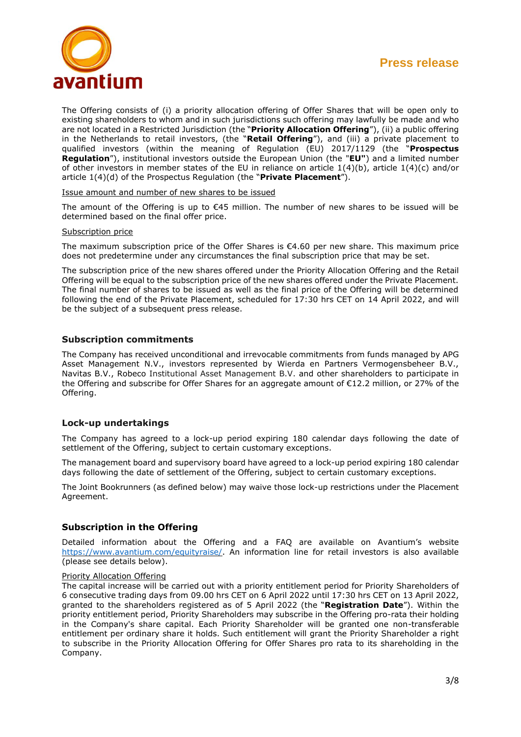



The Offering consists of (i) a priority allocation offering of Offer Shares that will be open only to existing shareholders to whom and in such jurisdictions such offering may lawfully be made and who are not located in a Restricted Jurisdiction (the "**Priority Allocation Offering**"), (ii) a public offering in the Netherlands to retail investors, (the "**Retail Offering**"), and (iii) a private placement to qualified investors (within the meaning of Regulation (EU) 2017/1129 (the "**Prospectus Regulation**"), institutional investors outside the European Union (the "**EU"**) and a limited number of other investors in member states of the EU in reliance on article 1(4)(b), article 1(4)(c) and/or article 1(4)(d) of the Prospectus Regulation (the "**Private Placement**").

#### Issue amount and number of new shares to be issued

The amount of the Offering is up to  $\epsilon$ 45 million. The number of new shares to be issued will be determined based on the final offer price.

#### Subscription price

The maximum subscription price of the Offer Shares is €4.60 per new share. This maximum price does not predetermine under any circumstances the final subscription price that may be set.

The subscription price of the new shares offered under the Priority Allocation Offering and the Retail Offering will be equal to the subscription price of the new shares offered under the Private Placement. The final number of shares to be issued as well as the final price of the Offering will be determined following the end of the Private Placement, scheduled for 17:30 hrs CET on 14 April 2022, and will be the subject of a subsequent press release.

## **Subscription commitments**

The Company has received unconditional and irrevocable commitments from funds managed by APG Asset Management N.V., investors represented by Wierda en Partners Vermogensbeheer B.V., Navitas B.V., Robeco Institutional Asset Management B.V. and other shareholders to participate in the Offering and subscribe for Offer Shares for an aggregate amount of €12.2 million, or 27% of the Offering.

### **Lock-up undertakings**

The Company has agreed to a lock-up period expiring 180 calendar days following the date of settlement of the Offering, subject to certain customary exceptions.

The management board and supervisory board have agreed to a lock-up period expiring 180 calendar days following the date of settlement of the Offering, subject to certain customary exceptions.

The Joint Bookrunners (as defined below) may waive those lock-up restrictions under the Placement Agreement.

## **Subscription in the Offering**

Detailed information about the Offering and a FAQ are available on Avantium's website [https://www.avantium.com/equityraise/.](https://www.avantium.com/equityraise/) An information line for retail investors is also available (please see details below).

#### Priority Allocation Offering

The capital increase will be carried out with a priority entitlement period for Priority Shareholders of 6 consecutive trading days from 09.00 hrs CET on 6 April 2022 until 17:30 hrs CET on 13 April 2022, granted to the shareholders registered as of 5 April 2022 (the "**Registration Date**"). Within the priority entitlement period, Priority Shareholders may subscribe in the Offering pro-rata their holding in the Company's share capital. Each Priority Shareholder will be granted one non-transferable entitlement per ordinary share it holds. Such entitlement will grant the Priority Shareholder a right to subscribe in the Priority Allocation Offering for Offer Shares pro rata to its shareholding in the Company.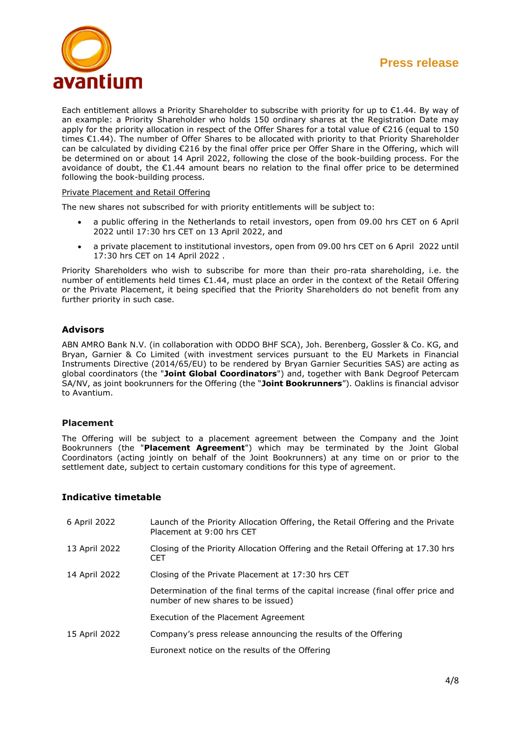

Each entitlement allows a Priority Shareholder to subscribe with priority for up to €1.44. By way of an example: a Priority Shareholder who holds 150 ordinary shares at the Registration Date may apply for the priority allocation in respect of the Offer Shares for a total value of €216 (equal to 150 times €1.44). The number of Offer Shares to be allocated with priority to that Priority Shareholder can be calculated by dividing €216 by the final offer price per Offer Share in the Offering, which will be determined on or about 14 April 2022, following the close of the book-building process. For the avoidance of doubt, the €1.44 amount bears no relation to the final offer price to be determined following the book-building process.

### Private Placement and Retail Offering

The new shares not subscribed for with priority entitlements will be subject to:

- a public offering in the Netherlands to retail investors, open from 09.00 hrs CET on 6 April 2022 until 17:30 hrs CET on 13 April 2022, and
- a private placement to institutional investors, open from 09.00 hrs CET on 6 April 2022 until 17:30 hrs CET on 14 April 2022 .

Priority Shareholders who wish to subscribe for more than their pro-rata shareholding, i.e. the number of entitlements held times  $\epsilon$ 1.44, must place an order in the context of the Retail Offering or the Private Placement, it being specified that the Priority Shareholders do not benefit from any further priority in such case.

## **Advisors**

ABN AMRO Bank N.V. (in collaboration with ODDO BHF SCA), Joh. Berenberg, Gossler & Co. KG, and Bryan, Garnier & Co Limited (with investment services pursuant to the EU Markets in Financial Instruments Directive (2014/65/EU) to be rendered by Bryan Garnier Securities SAS) are acting as global coordinators (the "**Joint Global Coordinators**") and, together with Bank Degroof Petercam SA/NV, as joint bookrunners for the Offering (the "**Joint Bookrunners**"). Oaklins is financial advisor to Avantium.

## **Placement**

The Offering will be subject to a placement agreement between the Company and the Joint Bookrunners (the "**Placement Agreement**") which may be terminated by the Joint Global Coordinators (acting jointly on behalf of the Joint Bookrunners) at any time on or prior to the settlement date, subject to certain customary conditions for this type of agreement.

## **Indicative timetable**

| 6 April 2022  | Launch of the Priority Allocation Offering, the Retail Offering and the Private<br>Placement at 9:00 hrs CET          |
|---------------|-----------------------------------------------------------------------------------------------------------------------|
| 13 April 2022 | Closing of the Priority Allocation Offering and the Retail Offering at 17.30 hrs<br><b>CET</b>                        |
| 14 April 2022 | Closing of the Private Placement at 17:30 hrs CET                                                                     |
|               | Determination of the final terms of the capital increase (final offer price and<br>number of new shares to be issued) |
|               | Execution of the Placement Agreement                                                                                  |
| 15 April 2022 | Company's press release announcing the results of the Offering                                                        |
|               | Euronext notice on the results of the Offering                                                                        |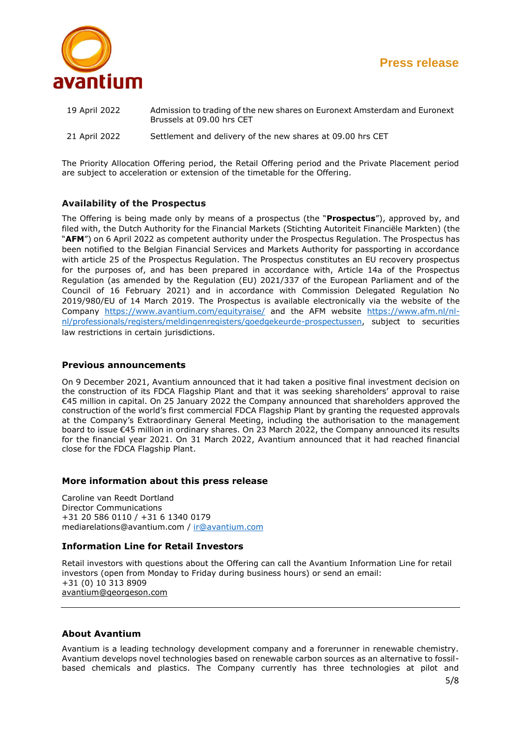



19 April 2022 Admission to trading of the new shares on Euronext Amsterdam and Euronext Brussels at 09.00 hrs CET 21 April 2022 Settlement and delivery of the new shares at 09.00 hrs CET

The Priority Allocation Offering period, the Retail Offering period and the Private Placement period are subject to acceleration or extension of the timetable for the Offering.

# **Availability of the Prospectus**

The Offering is being made only by means of a prospectus (the "**Prospectus**"), approved by, and filed with, the Dutch Authority for the Financial Markets (Stichting Autoriteit Financiële Markten) (the "AFM") on 6 April 2022 as competent authority under the Prospectus Regulation. The Prospectus has been notified to the Belgian Financial Services and Markets Authority for passporting in accordance with article 25 of the Prospectus Regulation. The Prospectus constitutes an EU recovery prospectus for the purposes of, and has been prepared in accordance with, Article 14a of the Prospectus Regulation (as amended by the Regulation (EU) 2021/337 of the European Parliament and of the Council of 16 February 2021) and in accordance with Commission Delegated Regulation No 2019/980/EU of 14 March 2019. The Prospectus is available electronically via the website of the Company <https://www.avantium.com/equityraise/> and the AFM website [https://www.afm.nl/nl](https://www.afm.nl/nl-nl/professionals/registers/meldingenregisters/goedgekeurde-prospectussen)[nl/professionals/registers/meldingenregisters/goedgekeurde-prospectussen,](https://www.afm.nl/nl-nl/professionals/registers/meldingenregisters/goedgekeurde-prospectussen) subject to securities law restrictions in certain jurisdictions.

## **Previous announcements**

On 9 December 2021, Avantium announced that it had taken a positive final investment decision on the construction of its FDCA Flagship Plant and that it was seeking shareholders' approval to raise €45 million in capital. On 25 January 2022 the Company announced that shareholders approved the construction of the world's first commercial FDCA Flagship Plant by granting the requested approvals at the Company's Extraordinary General Meeting, including the authorisation to the management board to issue €45 million in ordinary shares. On 23 March 2022, the Company announced its results for the financial year 2021. On 31 March 2022, Avantium announced that it had reached financial close for the FDCA Flagship Plant.

## **More information about this press release**

Caroline van Reedt Dortland Director Communications +31 20 586 0110 / +31 6 1340 0179 [mediarelations@avantium.com](mailto:mediarelations@avantium.com) / [ir@avantium.com](mailto:ir@avantium.com)

## **Information Line for Retail Investors**

Retail investors with questions about the Offering can call the Avantium Information Line for retail investors (open from Monday to Friday during business hours) or send an email: +31 (0) 10 313 8909 [avantium@georgeson.com](mailto:avantium@georgeson.com)

## **About Avantium**

Avantium is a leading technology development company and a forerunner in renewable chemistry. Avantium develops novel technologies based on renewable carbon sources as an alternative to fossilbased chemicals and plastics. The Company currently has three technologies at pilot and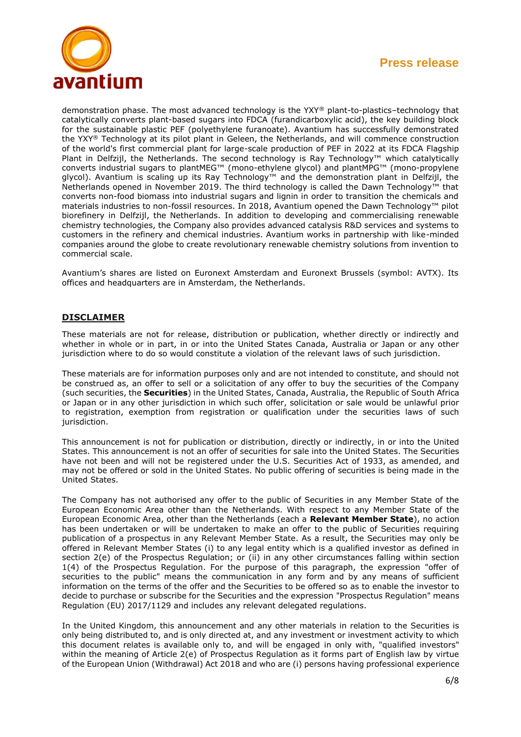



demonstration phase. The most advanced technology is the YXY® plant-to-plastics–technology that catalytically converts plant-based sugars into FDCA (furandicarboxylic acid), the key building block for the sustainable plastic PEF (polyethylene furanoate). Avantium has successfully demonstrated the YXY® Technology at its pilot plant in Geleen, the Netherlands, and will commence construction of the world's first commercial plant for large-scale production of PEF in 2022 at its FDCA Flagship Plant in Delfzijl, the Netherlands. The second technology is Ray Technology™ which catalytically converts industrial sugars to plantMEG™ (mono-ethylene glycol) and plantMPG™ (mono-propylene glycol). Avantium is scaling up its Ray Technology™ and the demonstration plant in Delfzijl, the Netherlands opened in November 2019. The third technology is called the Dawn Technology™ that converts non-food biomass into industrial sugars and lignin in order to transition the chemicals and materials industries to non-fossil resources. In 2018, Avantium opened the Dawn Technology™ pilot biorefinery in Delfzijl, the Netherlands. In addition to developing and commercialising renewable chemistry technologies, the Company also provides advanced catalysis R&D services and systems to customers in the refinery and chemical industries. Avantium works in partnership with like-minded companies around the globe to create revolutionary renewable chemistry solutions from invention to commercial scale.

Avantium's shares are listed on Euronext Amsterdam and Euronext Brussels (symbol: AVTX). Its offices and headquarters are in Amsterdam, the Netherlands.

# **DISCLAIMER**

These materials are not for release, distribution or publication, whether directly or indirectly and whether in whole or in part, in or into the United States Canada, Australia or Japan or any other jurisdiction where to do so would constitute a violation of the relevant laws of such jurisdiction.

These materials are for information purposes only and are not intended to constitute, and should not be construed as, an offer to sell or a solicitation of any offer to buy the securities of the Company (such securities, the **Securities**) in the United States, Canada, Australia, the Republic of South Africa or Japan or in any other jurisdiction in which such offer, solicitation or sale would be unlawful prior to registration, exemption from registration or qualification under the securities laws of such jurisdiction.

This announcement is not for publication or distribution, directly or indirectly, in or into the United States. This announcement is not an offer of securities for sale into the United States. The Securities have not been and will not be registered under the U.S. Securities Act of 1933, as amended, and may not be offered or sold in the United States. No public offering of securities is being made in the United States.

The Company has not authorised any offer to the public of Securities in any Member State of the European Economic Area other than the Netherlands. With respect to any Member State of the European Economic Area, other than the Netherlands (each a **Relevant Member State**), no action has been undertaken or will be undertaken to make an offer to the public of Securities requiring publication of a prospectus in any Relevant Member State. As a result, the Securities may only be offered in Relevant Member States (i) to any legal entity which is a qualified investor as defined in section 2(e) of the Prospectus Regulation; or (ii) in any other circumstances falling within section 1(4) of the Prospectus Regulation. For the purpose of this paragraph, the expression "offer of securities to the public" means the communication in any form and by any means of sufficient information on the terms of the offer and the Securities to be offered so as to enable the investor to decide to purchase or subscribe for the Securities and the expression "Prospectus Regulation" means Regulation (EU) 2017/1129 and includes any relevant delegated regulations.

In the United Kingdom, this announcement and any other materials in relation to the Securities is only being distributed to, and is only directed at, and any investment or investment activity to which this document relates is available only to, and will be engaged in only with, "qualified investors" within the meaning of Article 2(e) of Prospectus Regulation as it forms part of English law by virtue of the European Union (Withdrawal) Act 2018 and who are (i) persons having professional experience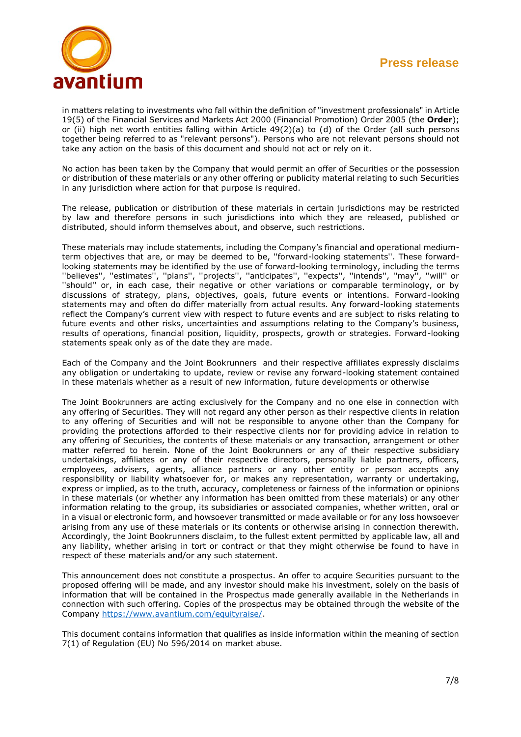

in matters relating to investments who fall within the definition of "investment professionals" in Article 19(5) of the Financial Services and Markets Act 2000 (Financial Promotion) Order 2005 (the **Order**); or (ii) high net worth entities falling within Article 49(2)(a) to (d) of the Order (all such persons together being referred to as "relevant persons"). Persons who are not relevant persons should not take any action on the basis of this document and should not act or rely on it.

No action has been taken by the Company that would permit an offer of Securities or the possession or distribution of these materials or any other offering or publicity material relating to such Securities in any jurisdiction where action for that purpose is required.

The release, publication or distribution of these materials in certain jurisdictions may be restricted by law and therefore persons in such jurisdictions into which they are released, published or distributed, should inform themselves about, and observe, such restrictions.

These materials may include statements, including the Company's financial and operational mediumterm objectives that are, or may be deemed to be, ''forward-looking statements''. These forwardlooking statements may be identified by the use of forward-looking terminology, including the terms ''believes'', ''estimates'', ''plans'', ''projects'', ''anticipates'', ''expects'', ''intends'', ''may'', ''will'' or ''should'' or, in each case, their negative or other variations or comparable terminology, or by discussions of strategy, plans, objectives, goals, future events or intentions. Forward-looking statements may and often do differ materially from actual results. Any forward-looking statements reflect the Company's current view with respect to future events and are subject to risks relating to future events and other risks, uncertainties and assumptions relating to the Company's business, results of operations, financial position, liquidity, prospects, growth or strategies. Forward-looking statements speak only as of the date they are made.

Each of the Company and the Joint Bookrunners and their respective affiliates expressly disclaims any obligation or undertaking to update, review or revise any forward-looking statement contained in these materials whether as a result of new information, future developments or otherwise

The Joint Bookrunners are acting exclusively for the Company and no one else in connection with any offering of Securities. They will not regard any other person as their respective clients in relation to any offering of Securities and will not be responsible to anyone other than the Company for providing the protections afforded to their respective clients nor for providing advice in relation to any offering of Securities, the contents of these materials or any transaction, arrangement or other matter referred to herein. None of the Joint Bookrunners or any of their respective subsidiary undertakings, affiliates or any of their respective directors, personally liable partners, officers, employees, advisers, agents, alliance partners or any other entity or person accepts any responsibility or liability whatsoever for, or makes any representation, warranty or undertaking, express or implied, as to the truth, accuracy, completeness or fairness of the information or opinions in these materials (or whether any information has been omitted from these materials) or any other information relating to the group, its subsidiaries or associated companies, whether written, oral or in a visual or electronic form, and howsoever transmitted or made available or for any loss howsoever arising from any use of these materials or its contents or otherwise arising in connection therewith. Accordingly, the Joint Bookrunners disclaim, to the fullest extent permitted by applicable law, all and any liability, whether arising in tort or contract or that they might otherwise be found to have in respect of these materials and/or any such statement.

This announcement does not constitute a prospectus. An offer to acquire Securities pursuant to the proposed offering will be made, and any investor should make his investment, solely on the basis of information that will be contained in the Prospectus made generally available in the Netherlands in connection with such offering. Copies of the prospectus may be obtained through the website of the Company [https://www.avantium.com/equityraise/.](https://www.avantium.com/equityraise/)

This document contains information that qualifies as inside information within the meaning of section 7(1) of Regulation (EU) No 596/2014 on market abuse.